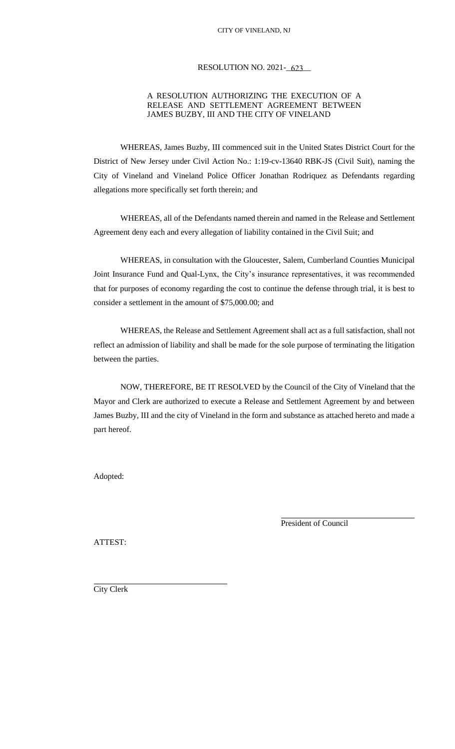# RESOLUTION NO. 2021-<u>623</u>

### A RESOLUTION AUTHORIZING THE EXECUTION OF A RELEASE AND SETTLEMENT AGREEMENT BETWEEN JAMES BUZBY, III AND THE CITY OF VINELAND

WHEREAS, James Buzby, III commenced suit in the United States District Court for the District of New Jersey under Civil Action No.: 1:19-cv-13640 RBK-JS (Civil Suit), naming the City of Vineland and Vineland Police Officer Jonathan Rodriquez as Defendants regarding allegations more specifically set forth therein; and

WHEREAS, all of the Defendants named therein and named in the Release and Settlement Agreement deny each and every allegation of liability contained in the Civil Suit; and

WHEREAS, in consultation with the Gloucester, Salem, Cumberland Counties Municipal Joint Insurance Fund and Qual-Lynx, the City's insurance representatives, it was recommended that for purposes of economy regarding the cost to continue the defense through trial, it is best to consider a settlement in the amount of \$75,000.00; and

WHEREAS, the Release and Settlement Agreement shall act as a full satisfaction, shall not reflect an admission of liability and shall be made for the sole purpose of terminating the litigation between the parties.

NOW, THEREFORE, BE IT RESOLVED by the Council of the City of Vineland that the Mayor and Clerk are authorized to execute a Release and Settlement Agreement by and between James Buzby, III and the city of Vineland in the form and substance as attached hereto and made a part hereof.

Adopted:

President of Council

ATTEST:

City Clerk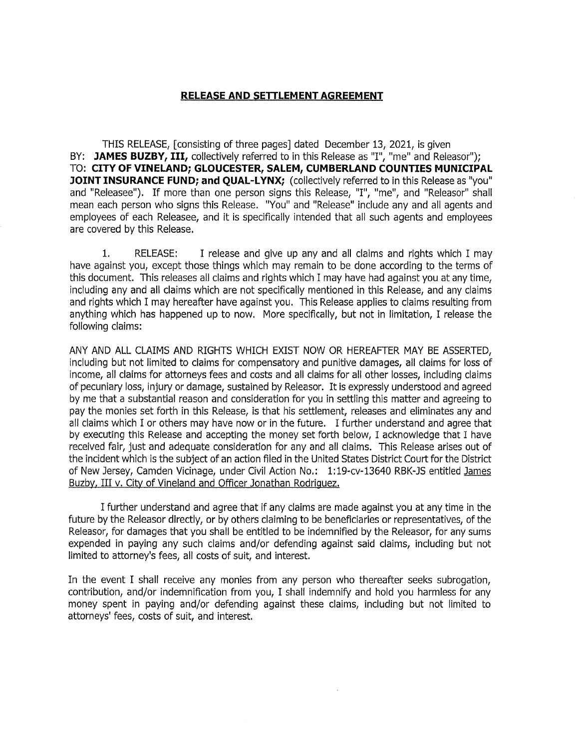#### RELEASE AND SETTLEMENT AGREEMENT

THIS RELEASE, [consisting of three pages] dated December 13, 2021, is given BY: JAMES BUZBY, III, collectively referred to in this Release as "I", "me" and Releasor"); TO: CITY OF VINELAND; GLOUCESTER, SALEM, CUMBERLAND COUNTIES MUNICIPAL JOINT INSURANCE FUND; and QUAL-LYNX; (collectively referred to in this Release as "you" and "Releasee"). If more than one person signs this Release, "I", "me", and "Releasor" shall mean each person who signs this Release. "You" and "Release" include any and all agents and employees of each Releasee, and it is specifically intended that all such agents and employees are covered by this Release.

 $1.$ **RELEASE:** I release and give up any and all claims and rights which I may have against you, except those things which may remain to be done according to the terms of this document. This releases all claims and rights which I may have had against you at any time, including any and all claims which are not specifically mentioned in this Release, and any claims and rights which I may hereafter have against you. This Release applies to claims resulting from anything which has happened up to now. More specifically, but not in limitation, I release the following claims:

ANY AND ALL CLAIMS AND RIGHTS WHICH EXIST NOW OR HEREAFTER MAY BE ASSERTED, including but not limited to claims for compensatory and punitive damages, all claims for loss of income, all claims for attorneys fees and costs and all claims for all other losses, including claims of pecuniary loss, injury or damage, sustained by Releasor. It is expressly understood and agreed by me that a substantial reason and consideration for you in settling this matter and agreeing to pay the monies set forth in this Release, is that his settlement, releases and eliminates any and all claims which I or others may have now or in the future. I further understand and agree that by executing this Release and accepting the money set forth below, I acknowledge that I have received fair, just and adequate consideration for any and all claims. This Release arises out of the incident which is the subject of an action filed in the United States District Court for the District of New Jersey, Camden Vicinage, under Civil Action No.: 1:19-cv-13640 RBK-JS entitled James Buzby, III v. City of Vineland and Officer Jonathan Rodriguez.

I further understand and agree that if any claims are made against you at any time in the future by the Releasor directly, or by others claiming to be beneficiaries or representatives, of the Releasor, for damages that you shall be entitled to be indemnified by the Releasor, for any sums expended in paying any such claims and/or defending against said claims, including but not limited to attorney's fees, all costs of suit, and interest.

In the event I shall receive any monies from any person who thereafter seeks subrogation, contribution, and/or indemnification from you, I shall indemnify and hold you harmless for any money spent in paying and/or defending against these claims, including but not limited to attorneys' fees, costs of suit, and interest.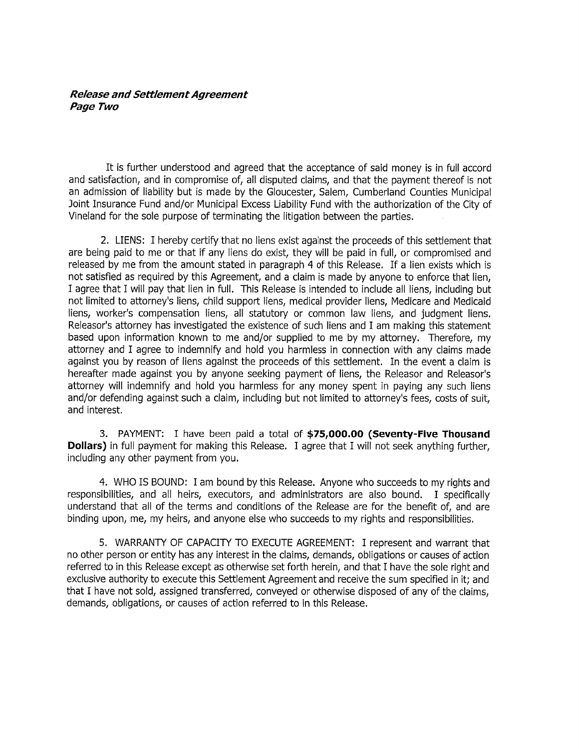# **Release and Settlement Agreement** Page Two

It is further understood and agreed that the acceptance of said money is in full accord and satisfaction, and in compromise of, all disputed claims, and that the payment thereof is not an admission of liability but is made by the Gloucester, Salem, Cumberland Counties Municipal Joint Insurance Fund and/or Municipal Excess Liability Fund with the authorization of the City of Vineland for the sole purpose of terminating the litigation between the parties.

2. LIENS: I hereby certify that no liens exist against the proceeds of this settlement that are being paid to me or that if any liens do exist, they will be paid in full, or compromised and released by me from the amount stated in paragraph 4 of this Release. If a lien exists which is not satisfied as required by this Agreement, and a claim is made by anyone to enforce that lien, I agree that I will pay that lien in full. This Release is intended to include all liens, including but not limited to attorney's liens, child support liens, medical provider liens, Medicare and Medicaid liens, worker's compensation liens, all statutory or common law liens, and judgment liens. Releasor's attorney has investigated the existence of such liens and I am making this statement based upon information known to me and/or supplied to me by my attorney. Therefore, my attorney and I agree to indemnify and hold you harmless in connection with any claims made against you by reason of liens against the proceeds of this settlement. In the event a claim is hereafter made against you by anyone seeking payment of liens, the Releasor and Releasor's attorney will indemnify and hold you harmless for any money spent in paying any such liens and/or defending against such a claim, including but not limited to attorney's fees, costs of suit. and interest.

3. PAYMENT: I have been paid a total of \$75,000.00 (Seventy-Five Thousand **Dollars)** in full payment for making this Release. I agree that I will not seek anything further, including any other payment from you.

4. WHO IS BOUND: I am bound by this Release. Anyone who succeeds to my rights and responsibilities, and all heirs, executors, and administrators are also bound. I specifically understand that all of the terms and conditions of the Release are for the benefit of, and are binding upon, me, my heirs, and anyone else who succeeds to my rights and responsibilities.

5. WARRANTY OF CAPACITY TO EXECUTE AGREEMENT: I represent and warrant that no other person or entity has any interest in the claims, demands, obligations or causes of action referred to in this Release except as otherwise set forth herein, and that I have the sole right and exclusive authority to execute this Settlement Agreement and receive the sum specified in it: and that I have not sold, assigned transferred, conveyed or otherwise disposed of any of the claims. demands, obligations, or causes of action referred to in this Release.